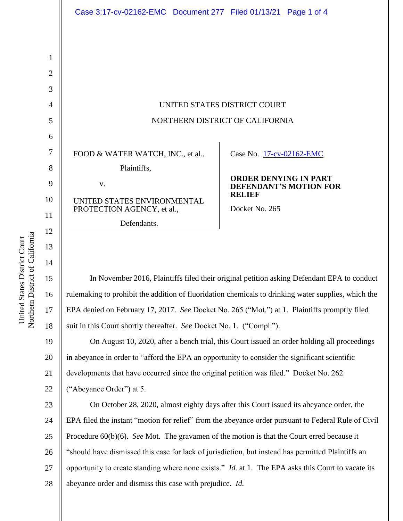|                                 |                                                                                         |  | Case 3:17-cv-02162-EMC Document 277 Filed 01/13/21 Page 1 of 4  |                        |
|---------------------------------|-----------------------------------------------------------------------------------------|--|-----------------------------------------------------------------|------------------------|
|                                 |                                                                                         |  |                                                                 |                        |
|                                 |                                                                                         |  |                                                                 |                        |
|                                 |                                                                                         |  |                                                                 |                        |
| UNITED STATES DISTRICT COURT    |                                                                                         |  |                                                                 |                        |
| NORTHERN DISTRICT OF CALIFORNIA |                                                                                         |  |                                                                 |                        |
|                                 |                                                                                         |  |                                                                 |                        |
|                                 | FOOD & WATER WATCH, INC., et al.,                                                       |  | Case No. 17-cv-02162-EMC                                        |                        |
| V.                              | Plaintiffs,<br>UNITED STATES ENVIRONMENTAL<br>PROTECTION AGENCY, et al.,<br>Defendants. |  | <b>ORDER DENYING IN PART</b><br><b>RELIEF</b><br>Docket No. 265 | DEFENDANT'S MOTION FOR |

In November 2016, Plaintiffs filed their original petition asking Defendant EPA to conduct rulemaking to prohibit the addition of fluoridation chemicals to drinking water supplies, which the EPA denied on February 17, 2017. *See* Docket No. 265 ("Mot.") at 1. Plaintiffs promptly filed suit in this Court shortly thereafter. *See* Docket No. 1. ("Compl.").

19 20 21 22 On August 10, 2020, after a bench trial, this Court issued an order holding all proceedings in abeyance in order to "afford the EPA an opportunity to consider the significant scientific developments that have occurred since the original petition was filed." Docket No. 262 ("Abeyance Order") at 5.

23 24 25 26 27 28 On October 28, 2020, almost eighty days after this Court issued its abeyance order, the EPA filed the instant "motion for relief" from the abeyance order pursuant to Federal Rule of Civil Procedure 60(b)(6). *See* Mot. The gravamen of the motion is that the Court erred because it "should have dismissed this case for lack of jurisdiction, but instead has permitted Plaintiffs an opportunity to create standing where none exists." *Id.* at 1. The EPA asks this Court to vacate its abeyance order and dismiss this case with prejudice. *Id.* 

14

15

16

17

18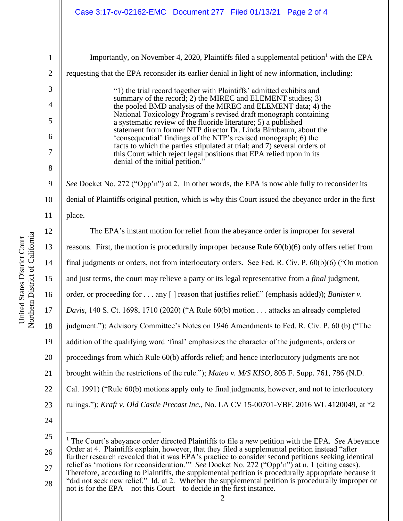Northern District of California Northern District of California United States District Court United States District Court

1 2 3 4 5 6 7 8 9 10 11 12 13 14 15 16 17 18 19 20 21 22 23 24 25 26 Importantly, on November 4, 2020, Plaintiffs filed a supplemental petition<sup>1</sup> with the EPA requesting that the EPA reconsider its earlier denial in light of new information, including: "1) the trial record together with Plaintiffs' admitted exhibits and summary of the record; 2) the MIREC and ELEMENT studies; 3) the pooled BMD analysis of the MIREC and ELEMENT data; 4) the National Toxicology Program's revised draft monograph containing a systematic review of the fluoride literature; 5) a published statement from former NTP director Dr. Linda Birnbaum, about the 'consequential' findings of the NTP's revised monograph; 6) the facts to which the parties stipulated at trial; and 7) several orders of this Court which reject legal positions that EPA relied upon in its denial of the initial petition." *See* Docket No. 272 ("Opp'n") at 2. In other words, the EPA is now able fully to reconsider its denial of Plaintiffs original petition, which is why this Court issued the abeyance order in the first place. The EPA's instant motion for relief from the abeyance order is improper for several reasons. First, the motion is procedurally improper because Rule 60(b)(6) only offers relief from final judgments or orders, not from interlocutory orders. See Fed. R. Civ. P. 60(b)(6) ("On motion and just terms, the court may relieve a party or its legal representative from a *final* judgment, order, or proceeding for . . . any [ ] reason that justifies relief." (emphasis added)); *Banister v. Davis*, 140 S. Ct. 1698, 1710 (2020) ("A Rule 60(b) motion . . . attacks an already completed judgment."); Advisory Committee's Notes on 1946 Amendments to Fed. R. Civ. P. 60 (b) ("The addition of the qualifying word 'final' emphasizes the character of the judgments, orders or proceedings from which Rule 60(b) affords relief; and hence interlocutory judgments are not brought within the restrictions of the rule."); *Mateo v. M/S KISO*, 805 F. Supp. 761, 786 (N.D. Cal. 1991) ("Rule 60(b) motions apply only to final judgments, however, and not to interlocutory rulings."); *Kraft v. Old Castle Precast Inc.*, No. LA CV 15-00701-VBF, 2016 WL 4120049, at \*2 <sup>1</sup> The Court's abeyance order directed Plaintiffs to file a *new* petition with the EPA. *See* Abeyance Order at 4. Plaintiffs explain, however, that they filed a supplemental petition instead "after

27 28 further research revealed that it was EPA's practice to consider second petitions seeking identical relief as 'motions for reconsideration.'" *See* Docket No. 272 ("Opp'n") at n. 1 (citing cases). Therefore, according to Plaintiffs, the supplemental petition is procedurally appropriate because it "did not seek new relief." Id. at 2. Whether the supplemental petition is procedurally improper or

not is for the EPA—not this Court—to decide in the first instance.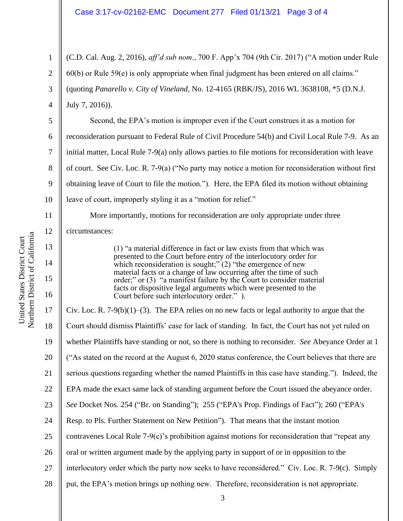1 2 3 4 (C.D. Cal. Aug. 2, 2016), *aff'd sub nom.*, 700 F. App'x 704 (9th Cir. 2017) ("A motion under Rule 60(b) or Rule 59(e) is only appropriate when final judgment has been entered on all claims." (quoting *Panarello v. City of Vineland*, No. 12-4165 (RBK/JS), 2016 WL 3638108, \*5 (D.N.J. July 7, 2016)).

Second, the EPA's motion is improper even if the Court construes it as a motion for reconsideration pursuant to Federal Rule of Civil Procedure 54(b) and Civil Local Rule 7-9. As an initial matter, Local Rule 7-9(a) only allows parties to file motions for reconsideration with leave of court. See Civ. Loc. R. 7-9(a) ("No party may notice a motion for reconsideration without first obtaining leave of Court to file the motion."). Here, the EPA filed its motion without obtaining leave of court, improperly styling it as a "motion for relief."

More importantly, motions for reconsideration are only appropriate under three circumstances:

> (1) "a material difference in fact or law exists from that which was presented to the Court before entry of the interlocutory order for which reconsideration is sought;" $(2)$  "the emergence of new material facts or a change of law occurring after the time of such order;" or (3) "a manifest failure by the Court to consider material facts or dispositive legal arguments which were presented to the Court before such interlocutory order." ).

3 17 18 19 20 21 22 23 24 25 26 27 28 Civ. Loc. R. 7-9(b)(1)–(3). The EPA relies on no new facts or legal authority to argue that the Court should dismiss Plaintiffs' case for lack of standing. In fact, the Court has not yet ruled on whether Plaintiffs have standing or not, so there is nothing to reconsider. *See* Abeyance Order at 1 ("As stated on the record at the August 6, 2020 status conference, the Court believes that there are serious questions regarding whether the named Plaintiffs in this case have standing."). Indeed, the EPA made the exact same lack of standing argument before the Court issued the abeyance order. *See* Docket Nos. 254 ("Br. on Standing"); 255 ("EPA's Prop. Findings of Fact"); 260 ("EPA's Resp. to Pls. Further Statement on New Petition"). That means that the instant motion contravenes Local Rule 7-9 $(c)$ 's prohibition against motions for reconsideration that "repeat any oral or written argument made by the applying party in support of or in opposition to the interlocutory order which the party now seeks to have reconsidered." Civ. Loc. R. 7-9(c). Simply put, the EPA's motion brings up nothing new. Therefore, reconsideration is not appropriate.

5

6

7

8

9

10

11

12

13

14

15

16